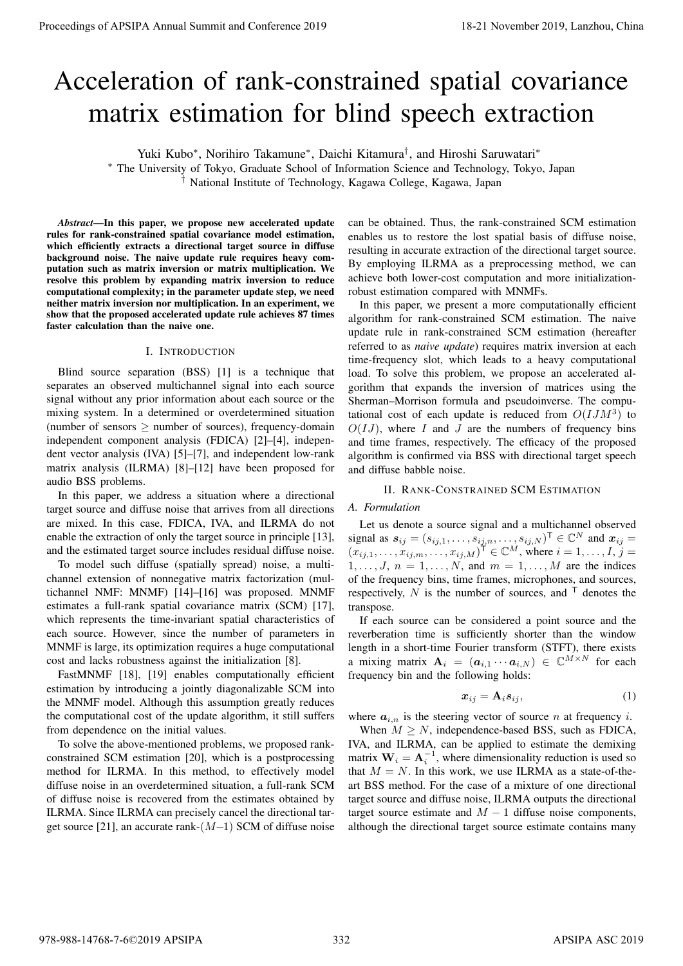# Acceleration of rank-constrained spatial covariance matrix estimation for blind speech extraction

Yuki Kubo*<sup>∗</sup>* , Norihiro Takamune*<sup>∗</sup>* , Daichi Kitamura*†* , and Hiroshi Saruwatari*<sup>∗</sup>*

*<sup>∗</sup>* The University of Tokyo, Graduate School of Information Science and Technology, Tokyo, Japan *†* National Institute of Technology, Kagawa College, Kagawa, Japan

*Abstract*—In this paper, we propose new accelerated update rules for rank-constrained spatial covariance model estimation, which efficiently extracts a directional target source in diffuse background noise. The naive update rule requires heavy computation such as matrix inversion or matrix multiplication. We resolve this problem by expanding matrix inversion to reduce computational complexity; in the parameter update step, we need neither matrix inversion nor multiplication. In an experiment, we show that the proposed accelerated update rule achieves 87 times faster calculation than the naive one.

## I. INTRODUCTION

Blind source separation (BSS) [1] is a technique that separates an observed multichannel signal into each source signal without any prior information about each source or the mixing system. In a determined or overdetermined situation (number of sensors *≥* number of sources), frequency-domain independent component analysis (FDICA) [2]–[4], independent vector analysis (IVA) [5]–[7], and independent low-rank matrix analysis (ILRMA) [8]–[12] have been proposed for audio BSS problems.

In this paper, we address a situation where a directional target source and diffuse noise that arrives from all directions are mixed. In this case, FDICA, IVA, and ILRMA do not enable the extraction of only the target source in principle [13], and the estimated target source includes residual diffuse noise.

To model such diffuse (spatially spread) noise, a multichannel extension of nonnegative matrix factorization (multichannel NMF: MNMF) [14]–[16] was proposed. MNMF estimates a full-rank spatial covariance matrix (SCM) [17], which represents the time-invariant spatial characteristics of each source. However, since the number of parameters in MNMF is large, its optimization requires a huge computational cost and lacks robustness against the initialization [8].

FastMNMF [18], [19] enables computationally efficient estimation by introducing a jointly diagonalizable SCM into the MNMF model. Although this assumption greatly reduces the computational cost of the update algorithm, it still suffers from dependence on the initial values.

To solve the above-mentioned problems, we proposed rankconstrained SCM estimation [20], which is a postprocessing method for ILRMA. In this method, to effectively model diffuse noise in an overdetermined situation, a full-rank SCM of diffuse noise is recovered from the estimates obtained by ILRMA. Since ILRMA can precisely cancel the directional target source [21], an accurate rank-(*M−*1) SCM of diffuse noise

can be obtained. Thus, the rank-constrained SCM estimation enables us to restore the lost spatial basis of diffuse noise, resulting in accurate extraction of the directional target source. By employing ILRMA as a preprocessing method, we can achieve both lower-cost computation and more initializationrobust estimation compared with MNMFs.

In this paper, we present a more computationally efficient algorithm for rank-constrained SCM estimation. The naive update rule in rank-constrained SCM estimation (hereafter referred to as *naive update*) requires matrix inversion at each time-frequency slot, which leads to a heavy computational load. To solve this problem, we propose an accelerated algorithm that expands the inversion of matrices using the Sherman–Morrison formula and pseudoinverse. The computational cost of each update is reduced from  $O( I J M^3)$  to  $O(IJ)$ , where *I* and *J* are the numbers of frequency bins and time frames, respectively. The efficacy of the proposed algorithm is confirmed via BSS with directional target speech and diffuse babble noise. **Procedure of APSIPA Annual Summit and Conference 2019**<br> **Acceleration of Tank-constrained Spatial covariance 2019**<br> **Matters of APSIPA Annual Summit and Conference 2022**<br> **The linear of APSIPA Annual Summit and Conferenc** 

## II. RANK-CONSTRAINED SCM ESTIMATION

# *A. Formulation*

Let us denote a source signal and a multichannel observed signal as  $s_{ij} = (s_{ij,1}, \ldots, s_{ij,n}, \ldots, s_{ij,N})^{\mathsf{T}} \in \mathbb{C}^N$  and  $x_{ij} =$  $(x_{ij,1}, \ldots, x_{ij,m}, \ldots, x_{ij,M})^{\mathsf{T}} \in \mathbb{C}^M$ , where  $i = 1, \ldots, I$ ,  $j =$  $1, \ldots, J, n = 1, \ldots, N$ , and  $m = 1, \ldots, M$  are the indices of the frequency bins, time frames, microphones, and sources, respectively,  $N$  is the number of sources, and  $\top$  denotes the transpose.

If each source can be considered a point source and the reverberation time is sufficiently shorter than the window length in a short-time Fourier transform (STFT), there exists a mixing matrix  $\mathbf{A}_i = (\mathbf{a}_{i,1} \cdots \mathbf{a}_{i,N}) \in \mathbb{C}^{M \times N}$  for each frequency bin and the following holds:

$$
x_{ij} = A_i s_{ij},\tag{1}
$$

where  $a_{i,n}$  is the steering vector of source *n* at frequency *i*.

When  $M \geq N$ , independence-based BSS, such as FDICA, IVA, and ILRMA, can be applied to estimate the demixing matrix  $W_i = A_i^{-1}$ , where dimensionality reduction is used so that  $M = N$ . In this work, we use ILRMA as a state-of-theart BSS method. For the case of a mixture of one directional target source and diffuse noise, ILRMA outputs the directional target source estimate and  $M-1$  diffuse noise components, although the directional target source estimate contains many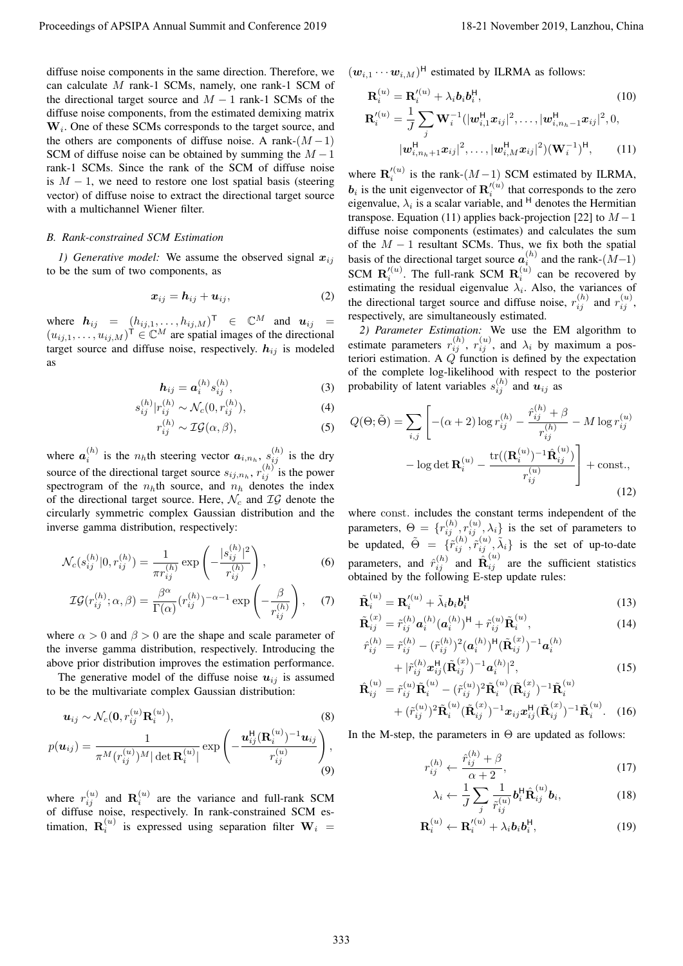diffuse noise components in the same direction. Therefore, we can calculate *M* rank-1 SCMs, namely, one rank-1 SCM of the directional target source and  $M-1$  rank-1 SCMs of the diffuse noise components, from the estimated demixing matrix **W***<sup>i</sup>* . One of these SCMs corresponds to the target source, and the others are components of diffuse noise. A rank- $(M-1)$ SCM of diffuse noise can be obtained by summing the *M −*1 rank-1 SCMs. Since the rank of the SCM of diffuse noise is *M −* 1, we need to restore one lost spatial basis (steering vector) of diffuse noise to extract the directional target source with a multichannel Wiener filter.

## *B. Rank-constrained SCM Estimation*

*1)* Generative model: We assume the observed signal  $x_{ij}$ to be the sum of two components, as

$$
x_{ij} = h_{ij} + u_{ij}, \qquad (2)
$$

where  $h_{ij} = (h_{ij,1}, \ldots, h_{ij,M})^{\mathsf{T}} \in \mathbb{C}^M$  and  $u_{ij} =$  $(u_{ij,1}, \ldots, u_{ij,M})^{\mathsf{T}} \in \mathbb{C}^M$  are spatial images of the directional target source and diffuse noise, respectively.  $h_{ij}$  is modeled as

$$
\boldsymbol{h}_{ij} = \boldsymbol{a}_i^{(h)} s_{ij}^{(h)},\tag{3}
$$

$$
s_{ij}^{(h)}|r_{ij}^{(h)} \sim \mathcal{N}_c(0, r_{ij}^{(h)}), \tag{4}
$$

$$
r_{ij}^{(h)} \sim \mathcal{IG}(\alpha, \beta),\tag{5}
$$

where  $a_i^{(h)}$  is the  $n_h$ th steering vector  $a_{i,n_h}$ ,  $s_{ij}^{(h)}$  is the dry source of the directional target source  $s_{ij,n_h}$ ,  $r_{ij}^{(h)}$  is the power spectrogram of the  $n<sub>h</sub>$ th source, and  $n<sub>h</sub>$  denotes the index of the directional target source. Here, *N<sup>c</sup>* and *IG* denote the circularly symmetric complex Gaussian distribution and the inverse gamma distribution, respectively:

$$
\mathcal{N}_c(s_{ij}^{(h)}|0, r_{ij}^{(h)}) = \frac{1}{\pi r_{ij}^{(h)}} \exp\left(-\frac{|s_{ij}^{(h)}|^2}{r_{ij}^{(h)}}\right),\tag{6}
$$

$$
\mathcal{IG}(r_{ij}^{(h)}; \alpha, \beta) = \frac{\beta^{\alpha}}{\Gamma(\alpha)} (r_{ij}^{(h)})^{-\alpha - 1} \exp\left(-\frac{\beta}{r_{ij}^{(h)}}\right), \quad (7)
$$

where  $\alpha > 0$  and  $\beta > 0$  are the shape and scale parameter of the inverse gamma distribution, respectively. Introducing the above prior distribution improves the estimation performance.

The generative model of the diffuse noise  $u_{ij}$  is assumed to be the multivariate complex Gaussian distribution:

$$
\boldsymbol{u}_{ij} \sim \mathcal{N}_c(\mathbf{0}, r_{ij}^{(u)} \mathbf{R}_i^{(u)}),
$$
\n
$$
p(\boldsymbol{u}_{ij}) = \frac{1}{\pi^M (r_{ij}^{(u)})^M |\det \mathbf{R}_i^{(u)}|} \exp\left(-\frac{\boldsymbol{u}_{ij}^{\mathsf{H}} (\mathbf{R}_i^{(u)})^{-1} \boldsymbol{u}_{ij}}{r_{ij}^{(u)}}\right),
$$
\n(8)\n(9)

where  $r_{ij}^{(u)}$  and  $\mathbf{R}_i^{(u)}$  are the variance and full-rank SCM of diffuse noise, respectively. In rank-constrained SCM estimation,  $\mathbf{R}_i^{(u)}$  is expressed using separation filter  $\mathbf{W}_i$  =  $(w_{i,1} \cdots w_{i,M})^{\text{H}}$  estimated by ILRMA as follows:

$$
\mathbf{R}_{i}^{(u)} = \mathbf{R}_{i}^{'(u)} + \lambda_{i} b_{i} b_{i}^{H},
$$
\n(10)  
\n
$$
\mathbf{R}_{i}^{'(u)} = \frac{1}{J} \sum_{j} \mathbf{W}_{i}^{-1} (|\mathbf{w}_{i,1}^{H} \mathbf{x}_{ij}|^{2}, \dots, |\mathbf{w}_{i,n_{h}-1}^{H} \mathbf{x}_{ij}|^{2}, 0,
$$
\n
$$
|\mathbf{w}_{i,n_{h}+1}^{H} \mathbf{x}_{ij}|^{2}, \dots, |\mathbf{w}_{i,M}^{H} \mathbf{x}_{ij}|^{2}) (\mathbf{W}_{i}^{-1})^{H},
$$
\n(11)

where  $\mathbf{R}'_i^{(u)}$  is the rank- $(M-1)$  SCM estimated by ILRMA,  **is the unit eigenvector of**  $\mathbf{R}'^{(u)}$  **that corresponds to the zero** eigenvalue,  $\lambda_i$  is a scalar variable, and <sup>H</sup> denotes the Hermitian transpose. Equation (11) applies back-projection [22] to *M −*1 diffuse noise components (estimates) and calculates the sum of the *M −* 1 resultant SCMs. Thus, we fix both the spatial basis of the directional target source  $a_i^{(h)}$  and the rank- $(M-1)$ *i* SCM  $\mathbf{R}'_i^{(u)}$ . The full-rank SCM  $\mathbf{R}_i^{(u)}$  can be recovered by estimating the residual eigenvalue  $\lambda_i$ . Also, the variances of the directional target source and diffuse noise,  $r_{ij}^{(h)}$  and  $r_{ij}^{(u)}$ , respectively, are simultaneously estimated. Proceeding of APSIPA Annual Summit and Conference 2019<br>
alline with the summit and the summit and conference 2019 18-21 November 2019 18-21 November 2019, Lanzhou, China 3333 2019<br>
and action are proposed for a conference

*2) Parameter Estimation:* We use the EM algorithm to estimate parameters  $r_{ij}^{(h)}$ ,  $r_{ij}^{(u)}$ , and  $\lambda_i$  by maximum a posteriori estimation. A *Q* function is defined by the expectation of the complete log-likelihood with respect to the posterior probability of latent variables  $s_{ij}^{(h)}$  and  $u_{ij}$  as

$$
Q(\Theta; \tilde{\Theta}) = \sum_{i,j} \left[ -(\alpha + 2) \log r_{ij}^{(h)} - \frac{\hat{r}_{ij}^{(h)} + \beta}{r_{ij}^{(h)}} - M \log r_{ij}^{(u)} - \log \det \mathbf{R}_i^{(u)} - \frac{\text{tr}((\mathbf{R}_i^{(u)})^{-1} \hat{\mathbf{R}}_{ij}^{(u)})}{r_{ij}^{(u)}} \right] + \text{const.},
$$
\n(12)

where const*.* includes the constant terms independent of the parameters,  $\Theta = \{r_{ij}^{(h)}, r_{ij}^{(u)}, \lambda_i\}$  is the set of parameters to be updated,  $\tilde{\Theta} = \{\tilde{r}_{ij}^{(h)}, \tilde{r}_{ij}^{(u)}, \tilde{\lambda}_i\}$  is the set of up-to-date parameters, and  $\hat{r}_{ij}^{(h)}$  and  $\hat{R}_{ij}^{(u)}$  are the sufficient statistics obtained by the following E-step update rules:

$$
\tilde{\mathbf{R}}_i^{(u)} = \mathbf{R}_i^{\prime (u)} + \tilde{\lambda}_i \mathbf{b}_i \mathbf{b}_i^{\mathsf{H}} \tag{13}
$$
\n
$$
\tilde{\mathbf{R}}_i^{(x)} = \kappa_h^{(h)} \left( \begin{array}{cc} h \\ h \end{array} \right) \left( \begin{array}{cc} h \\ h \end{array} \right) \left( \begin{array}{cc} h \\ h \end{array} \right) \tag{14}
$$

$$
\tilde{\mathbf{R}}_{ij}^{(x)} = \tilde{r}_{ij}^{(h)} \mathbf{a}_i^{(h)} (\mathbf{a}_i^{(h)})^{\mathsf{H}} + \tilde{r}_{ij}^{(u)} \tilde{\mathbf{R}}_i^{(u)}, \n\tilde{r}_{ij}^{(h)} = \tilde{r}_{ij}^{(h)} - (\tilde{r}_{ij}^{(h)})^2 (\mathbf{a}_i^{(h)})^{\mathsf{H}} (\tilde{\mathbf{R}}_{ij}^{(x)})^{-1} \mathbf{a}_i^{(h)}
$$
\n(14)

$$
\hat{r}_{ij}^{(h)} = \tilde{r}_{ij}^{(h)} - (\tilde{r}_{ij}^{(h)})^2 (\mathbf{a}_i^{(h)})^{\text{H}} (\mathbf{R}_{ij}^{(\omega)})^{-1} \mathbf{a}_i^{(h)} \n+ |\tilde{r}_{ij}^{(h)} \mathbf{x}_{ij}^{\text{H}} (\tilde{\mathbf{R}}_{ij}^{(\omega)})^{-1} \mathbf{a}_i^{(h)}|^2,
$$
\n(15)

$$
\hat{\mathbf{R}}_{ij}^{(u)} = \tilde{r}_{ij}^{(u)} \tilde{\mathbf{R}}_i^{(u)} - (\tilde{r}_{ij}^{(u)})^2 \tilde{\mathbf{R}}_i^{(u)} (\tilde{\mathbf{R}}_{ij}^{(x)})^{-1} \tilde{\mathbf{R}}_i^{(u)} \n+ (\tilde{r}_{ij}^{(u)})^2 \tilde{\mathbf{R}}_i^{(u)} (\tilde{\mathbf{R}}_{ij}^{(x)})^{-1} \mathbf{x}_{ij} \mathbf{x}_{ij}^{\mathsf{H}} (\tilde{\mathbf{R}}_{ij}^{(x)})^{-1} \tilde{\mathbf{R}}_i^{(u)}.
$$
\n(16)

In the M-step, the parameters in  $\Theta$  are updated as follows:

$$
r_{ij}^{(h)} \leftarrow \frac{\hat{r}_{ij}^{(h)} + \beta}{\alpha + 2},\tag{17}
$$

$$
\lambda_i \leftarrow \frac{1}{J} \sum_j \frac{1}{\tilde{r}_{ij}^{(u)}} \boldsymbol{b}_i^{\mathsf{H}} \hat{\mathbf{R}}_{ij}^{(u)} \boldsymbol{b}_i, \tag{18}
$$

$$
\mathbf{R}_i^{(u)} \leftarrow \mathbf{R}_i^{\prime(u)} + \lambda_i b_i b_i^{\mathsf{H}},\tag{19}
$$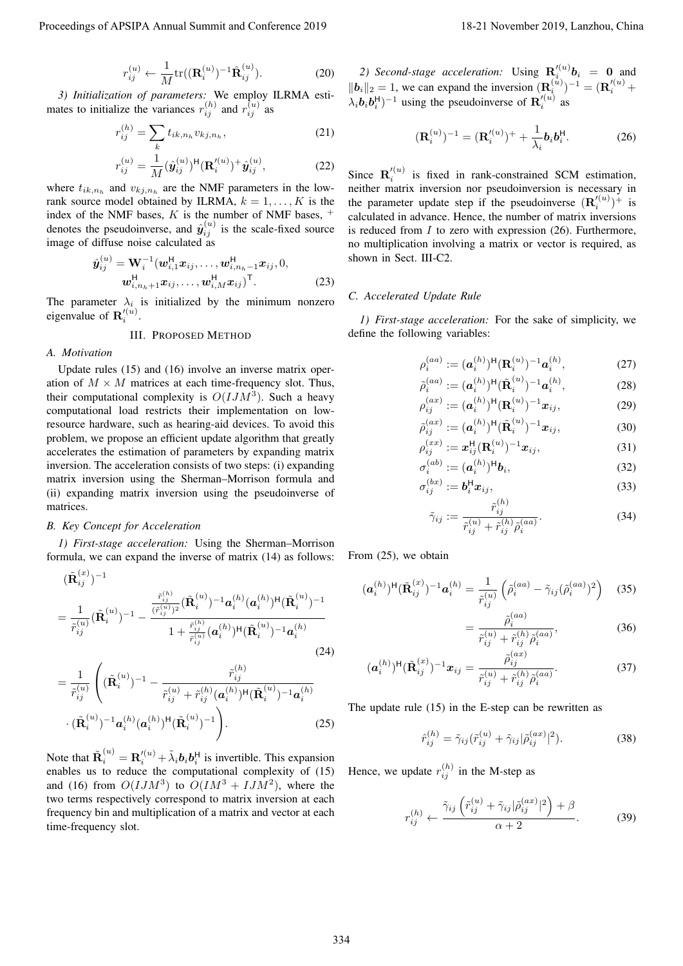$$
r_{ij}^{(u)} \leftarrow \frac{1}{M} \text{tr}((\mathbf{R}_i^{(u)})^{-1} \hat{\mathbf{R}}_{ij}^{(u)}).
$$
 (20)

*3) Initialization of parameters:* We employ ILRMA estimates to initialize the variances  $r_{ij}^{(h)}$  and  $r_{ij}^{(u)}$  as

$$
r_{ij}^{(h)} = \sum_{k} t_{ik,n_h} v_{kj,n_h},
$$
\n(21)

$$
r_{ij}^{(u)} = \frac{1}{M} (\hat{\mathbf{y}}_{ij}^{(u)})^{\mathsf{H}} (\mathbf{R}'_{i})^{+} \hat{\mathbf{y}}_{ij}^{(u)}, \qquad (22)
$$

where  $t_{ik,n_h}$  and  $v_{kj,n_h}$  are the NMF parameters in the lowrank source model obtained by ILRMA,  $k = 1, \ldots, K$  is the index of the NMF bases,  $K$  is the number of NMF bases,  $^+$ denotes the pseudoinverse, and  $\hat{y}_{ij}^{(u)}$  is the scale-fixed source image of diffuse noise calculated as

$$
\hat{\boldsymbol{y}}_{ij}^{(u)} = \mathbf{W}_i^{-1}(\boldsymbol{w}_{i,1}^{\mathsf{H}}\boldsymbol{x}_{ij},\ldots,\boldsymbol{w}_{i,n_h-1}^{\mathsf{H}}\boldsymbol{x}_{ij},0,\\ \boldsymbol{w}_{i,n_h+1}^{\mathsf{H}}\boldsymbol{x}_{ij},\ldots,\boldsymbol{w}_{i,M}^{\mathsf{H}}\boldsymbol{x}_{ij})^{\mathsf{T}}.
$$
\n(23)

The parameter  $\lambda_i$  is initialized by the minimum nonzero eigenvalue of  $\mathbf{R}'_i^{(u)}$ .

III. PROPOSED METHOD

### *A. Motivation*

Update rules (15) and (16) involve an inverse matrix operation of  $M \times M$  matrices at each time-frequency slot. Thus, their computational complexity is  $O( I J M^3)$ . Such a heavy computational load restricts their implementation on lowresource hardware, such as hearing-aid devices. To avoid this problem, we propose an efficient update algorithm that greatly accelerates the estimation of parameters by expanding matrix inversion. The acceleration consists of two steps: (i) expanding matrix inversion using the Sherman–Morrison formula and (ii) expanding matrix inversion using the pseudoinverse of matrices. Proceedings of APSIPA Annual Summit and Conference 2019<br> *Procedure 2018*  $\frac{d^2x}{dx^2} = \frac{1}{2} \frac{d^2y}{dx^2}$ ,  $\frac{dy}{dx} = 0$ <br> *Procedure 2019*  $\frac{d^2y}{dx^2} = 0$ <br> **Procedure 2019**  $\frac{dy}{dx} = 0$ <br> **Procedure 2019**  $\frac{dy}{dx} = 0$ <br>

### *B. Key Concept for Acceleration*

*1) First-stage acceleration:* Using the Sherman–Morrison formula, we can expand the inverse of matrix (14) as follows:

$$
(\tilde{\mathbf{R}}_{ij}^{(x)})^{-1} = \frac{1}{\tilde{r}_{ij}^{(u)}} (\tilde{\mathbf{R}}_{i}^{(u)})^{-1} - \frac{\frac{\tilde{r}_{ij}^{(h)}}{(\tilde{r}_{ij}^{(u)})^{2}} (\tilde{\mathbf{R}}_{i}^{(u)})^{-1} \mathbf{a}_{i}^{(h)} (\mathbf{a}_{i}^{(h)})^{H} (\tilde{\mathbf{R}}_{i}^{(u)})^{-1}}{1 + \frac{\tilde{r}_{ij}^{(h)}}{\tilde{r}_{ij}^{(u)}} (\mathbf{a}_{i}^{(h)})^{H} (\tilde{\mathbf{R}}_{i}^{(u)})^{-1} \mathbf{a}_{i}^{(h)}} \tag{24}
$$

$$
= \frac{1}{\tilde{r}_{ij}^{(u)}} \left( (\tilde{\mathbf{R}}_i^{(u)})^{-1} - \frac{\tilde{r}_{ij}^{(h)}}{\tilde{r}_{ij}^{(u)} + \tilde{r}_{ij}^{(h)} (\mathbf{a}_i^{(h)})^{\mathsf{H}} (\tilde{\mathbf{R}}_i^{(u)})^{-1} \mathbf{a}_i^{(h)}} - (\tilde{\mathbf{R}}_i^{(u)})^{-1} \mathbf{a}_i^{(h)} (\mathbf{a}_i^{(h)})^{\mathsf{H}} (\tilde{\mathbf{R}}_i^{(u)})^{-1} \right).
$$
 (25)

Note that  $\tilde{\mathbf{R}}_i^{(u)} = \mathbf{R}'_i^{(u)} + \tilde{\lambda}_i \mathbf{b}_i \mathbf{b}_i^{\mathsf{H}}$  is invertible. This expansion enables us to reduce the computational complexity of (15) and (16) from  $O( I J M^3)$  to  $O( I M^3 + I J M^2)$ , where the two terms respectively correspond to matrix inversion at each frequency bin and multiplication of a matrix and vector at each time-frequency slot.

2) Second-stage acceleration: Using  $\mathbf{R}'^{(u)}_i \mathbf{b}_i = \mathbf{0}$  and  $||b_i||_2 = 1$ , we can expand the inversion  $(\mathbf{R}^{(u)}_i)^{-1} = (\mathbf{R}'^{(u)}_i)^+$  $\lambda_i$ *b***<sub>***i***</sub><sup>***b***<sub>***i***</sub></sub><sup>***i***</sup>)<sup>−1</sup> using the pseudoinverse of <b>R**<sup>'</sup><sub>*i*</sub><sup>'(*u*)</sup> as</sup>

$$
(\mathbf{R}_i^{(u)})^{-1} = (\mathbf{R}_i'^{(u)})^+ + \frac{1}{\lambda_i} \mathbf{b}_i \mathbf{b}_i^{\mathsf{H}}.
$$
 (26)

Since  $\mathbf{R}'_i^{(u)}$  is fixed in rank-constrained SCM estimation, neither matrix inversion nor pseudoinversion is necessary in the parameter update step if the pseudoinverse  $(\mathbf{R}'_i^{(u)})^+$  is calculated in advance. Hence, the number of matrix inversions is reduced from *I* to zero with expression (26). Furthermore, no multiplication involving a matrix or vector is required, as shown in Sect. III-C2.

## *C. Accelerated Update Rule*

*1) First-stage acceleration:* For the sake of simplicity, we define the following variables:

$$
\rho_i^{(aa)} := (\mathbf{a}_i^{(h)})^{\mathsf{H}} (\mathbf{R}_i^{(u)})^{-1} \mathbf{a}_i^{(h)}, \tag{27}
$$

$$
\tilde{\rho}_i^{(aa)} := (\mathbf{a}_i^{(h)})^{\mathsf{H}} (\tilde{\mathbf{R}}_i^{(u)})^{-1} \mathbf{a}_i^{(h)},
$$
\n(28)\n
$$
(\mathbf{a}_i^{(a)})^{\mathsf{H}} (\mathbf{A}_i^{(h)})^{-1} \mathbf{a}_i^{(h)},
$$
\n(29)

$$
\rho_{ij}^{(ax)} := (\boldsymbol{a}_i^{(h)})^{\mathsf{H}} (\mathbf{R}_i^{(u)})^{-1} \boldsymbol{x}_{ij},
$$
\n
$$
z^{(ax)} \cdot (\boldsymbol{a}_i^{(h)})^{\mathsf{H}} (\tilde{\mathbf{p}}^{(u)})^{-1} \boldsymbol{x}_{ij},
$$
\n(29)

$$
\tilde{\rho}_{ij}^{(ax)} := (\boldsymbol{a}_i^{(h)})^{\mathsf{H}} (\tilde{\mathbf{R}}_i^{(u)})^{-1} \boldsymbol{x}_{ij},
$$
\n(30)\n  
\n
$$
\rho_{ij}^{(xx)} := \boldsymbol{\pi}^{\mathsf{H}} (\mathbf{R}^{(u)})^{-1} \boldsymbol{x}_{ij},
$$
\n(31)

$$
\rho_{ij}^{(xx)} := \mathbf{x}_{ij}^{\mathrm{H}}(\mathbf{R}_i^{(u)})^{-1}\mathbf{x}_{ij},
$$
\n(31)  
\n
$$
\sigma_i^{(ab)} := (\mathbf{a}_i^{(h)})^{\mathrm{H}}\mathbf{b}_i,
$$
\n(32)

$$
\sigma_i^{(ab)} := (a_i^{(h)})^{\mathsf{H}} b_i,
$$
\n(32)

$$
\sigma_{ij}^{(ox)} := \boldsymbol{b}_i^{\mathsf{H}} \boldsymbol{x}_{ij},
$$
\n
$$
z^{(h)}
$$
\n(33)

$$
\tilde{\gamma}_{ij} := \frac{\tilde{r}_{ij}^{(n)}}{\tilde{r}_{ij}^{(u)} + \tilde{r}_{ij}^{(h)} \tilde{\rho}_i^{(aa)}}.
$$
\n(34)

From (25), we obtain

$$
(\boldsymbol{a}_{i}^{(h)})^{\text{H}}(\tilde{\mathbf{R}}_{ij}^{(x)})^{-1}\boldsymbol{a}_{i}^{(h)} = \frac{1}{\tilde{r}_{ij}^{(u)}}\left(\tilde{\rho}_{i}^{(aa)} - \tilde{\gamma}_{ij}(\tilde{\rho}_{i}^{(aa)})^{2}\right) \quad (35)
$$

$$
=\frac{\tilde{\rho}_i^{(aa)}}{\tilde{r}_{ij}^{(u)} + \tilde{r}_{ij}^{(h)}\tilde{\rho}_i^{(aa)}},\tag{36}
$$

$$
(\mathbf{a}_{i}^{(h)})^{\mathsf{H}}(\tilde{\mathbf{R}}_{ij}^{(x)})^{-1}\mathbf{x}_{ij} = \frac{\tilde{\rho}_{ij}^{(ax)}}{\tilde{r}_{ij}^{(u)} + \tilde{r}_{ij}^{(h)}\tilde{\rho}_{i}^{(aa)}}.
$$
(37)

The update rule (15) in the E-step can be rewritten as

$$
\hat{r}_{ij}^{(h)} = \tilde{\gamma}_{ij} (\tilde{r}_{ij}^{(u)} + \tilde{\gamma}_{ij} |\tilde{\rho}_{ij}^{(ax)}|^2).
$$
 (38)

Hence, we update  $r_{ij}^{(h)}$  in the M-step as

$$
r_{ij}^{(h)} \leftarrow \frac{\tilde{\gamma}_{ij} \left( \tilde{r}_{ij}^{(u)} + \tilde{\gamma}_{ij} |\tilde{\rho}_{ij}^{(ax)}|^2 \right) + \beta}{\alpha + 2}.
$$
 (39)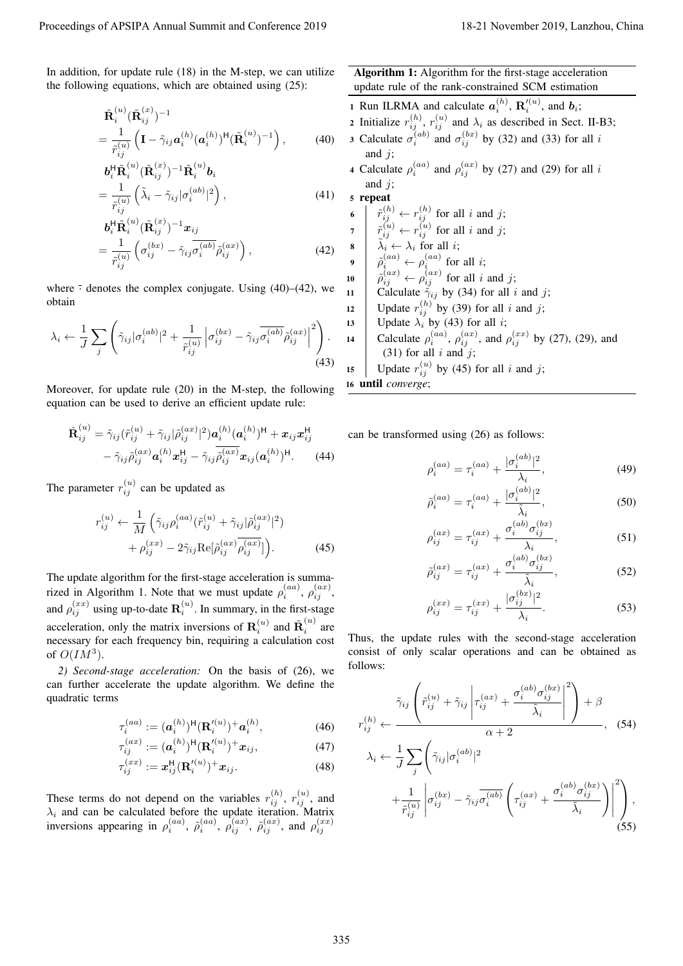In addition, for update rule (18) in the M-step, we can utilize the following equations, which are obtained using (25):

$$
\tilde{\mathbf{R}}_{i}^{(u)}(\tilde{\mathbf{R}}_{ij}^{(x)})^{-1} = \frac{1}{\tilde{r}_{ij}^{(u)}} \left( \mathbf{I} - \tilde{\gamma}_{ij} \mathbf{a}_{i}^{(h)} (\mathbf{a}_{i}^{(h)})^{\mathsf{H}} (\tilde{\mathbf{R}}_{i}^{(u)})^{-1} \right), \tag{40}
$$

$$
\mathbf{b}_{i}^{\mathsf{H}} \tilde{\mathbf{R}}_{i}^{(u)} (\tilde{\mathbf{R}}_{ij}^{(x)})^{-1} \tilde{\mathbf{R}}_{i}^{(u)} \mathbf{b}_{i}
$$
\n
$$
= \frac{1}{z^{(u)}} \left( \tilde{\lambda}_{i} - \tilde{\gamma}_{ij} |\sigma_{i}^{(ab)}|^{2} \right), \tag{41}
$$

$$
\tilde{r}_{ij}^{(u)} \left\langle \tilde{\mathbf{R}}_{ij}^{(x)} (\tilde{\mathbf{R}}_{ij}^{(x)})^{-1} x_{ij} \right\rangle
$$
\n
$$
= \frac{1}{\tilde{r}_{ij}^{(u)}} \left( \sigma_{ij}^{(bx)} - \tilde{\gamma}_{ij} \sigma_i^{(ab)} \tilde{\rho}_{ij}^{(ax)} \right), \tag{42}
$$

where  $\overline{\cdot}$  denotes the complex conjugate. Using (40)–(42), we obtain

$$
\lambda_i \leftarrow \frac{1}{J} \sum_j \left( \tilde{\gamma}_{ij} |\sigma_i^{(ab)}|^2 + \frac{1}{\tilde{r}_{ij}^{(u)}} \left| \sigma_{ij}^{(bx)} - \tilde{\gamma}_{ij} \overline{\sigma_i^{(ab)}} \tilde{\rho}_{ij}^{(ax)} \right|^2 \right). \tag{43}
$$

Moreover, for update rule (20) in the M-step, the following equation can be used to derive an efficient update rule:

$$
\hat{\mathbf{R}}_{ij}^{(u)} = \tilde{\gamma}_{ij} (\tilde{r}_{ij}^{(u)} + \tilde{\gamma}_{ij} |\tilde{\rho}_{ij}^{(ax)}|^2) \mathbf{a}_i^{(h)} (\mathbf{a}_i^{(h)})^{\mathsf{H}} + \mathbf{x}_{ij} \mathbf{x}_{ij}^{\mathsf{H}} \n- \tilde{\gamma}_{ij} \tilde{\rho}_{ij}^{(ax)} \mathbf{a}_i^{(h)} \mathbf{x}_{ij}^{\mathsf{H}} - \tilde{\gamma}_{ij} \tilde{\rho}_{ij}^{(ax)} \mathbf{x}_{ij} (\mathbf{a}_i^{(h)})^{\mathsf{H}}.
$$
\n(44)

The parameter  $r_{ij}^{(u)}$  can be updated as

*ij*

$$
r_{ij}^{(u)} \leftarrow \frac{1}{M} \left( \tilde{\gamma}_{ij} \rho_i^{(aa)} (\tilde{r}_{ij}^{(u)} + \tilde{\gamma}_{ij} |\tilde{\rho}_{ij}^{(ax)}|^2) + \rho_{ij}^{(xx)} - 2\tilde{\gamma}_{ij} \text{Re} [\tilde{\rho}_{ij}^{(ax)} \overline{\rho_{ij}^{(ax)}}] \right).
$$
 (45)

The update algorithm for the first-stage acceleration is summarized in Algorithm 1. Note that we must update  $\rho_i^{(aa)}$ ,  $\rho_{ij}^{(ax)}$ , and  $\rho_{ij}^{(xx)}$  using up-to-date  $\mathbf{R}_i^{(u)}$ . In summary, in the first-stage acceleration, only the matrix inversions of  $\mathbf{R}_{i}^{(u)}$  and  $\tilde{\mathbf{R}}_{i}^{(u)}$  $\int_i^{(u)}$  are necessary for each frequency bin, requiring a calculation cost of  $O(IM^3)$ .

*2) Second-stage acceleration:* On the basis of (26), we can further accelerate the update algorithm. We define the quadratic terms

$$
\tau_i^{(aa)} := (\mathbf{a}_i^{(h)})^{\mathsf{H}} (\mathbf{R}_i'^{(u)})^+ \mathbf{a}_i^{(h)},\tag{46}
$$

$$
\tau_{ij}^{(ax)} := (a_i^{(h)})^{\mathsf{H}} (\mathbf{R}_i'^{(u)})^+ x_{ij},\tag{47}
$$

$$
\tau_{ij}^{(xx)} := \boldsymbol{x}_{ij}^{\mathsf{H}}(\mathbf{R}'_{i}^{(u)})^{+}\boldsymbol{x}_{ij}.
$$
\n(48)

These terms do not depend on the variables  $r_{ij}^{(h)}$ ,  $r_{ij}^{(u)}$ , and  $\lambda_i$  and can be calculated before the update iteration. Matrix inversions appearing in  $\rho_i^{(aa)}$ ,  $\tilde{\rho}_i^{(aa)}$ ,  $\rho_{ij}^{(ax)}$ ,  $\tilde{\rho}_{ij}^{(ax)}$ , and  $\rho_{ij}^{(xx)}$  Algorithm 1: Algorithm for the first-stage acceleration update rule of the rank-constrained SCM estimation

1 Run ILRMA and calculate  $a_i^{(h)}$ ,  $\mathbf{R}'_i^{(u)}$ , and  $b_i$ ; 2 Initialize  $r_{ij}^{(h)}$ ,  $r_{ij}^{(u)}$  and  $\lambda_i$  as described in Sect. II-B3; 3 Calculate  $\sigma_i^{(ab)}$  and  $\sigma_{ij}^{(bx)}$  by (32) and (33) for all *i* and *j*; 4 Calculate  $\rho_i^{(aa)}$  and  $\rho_{ij}^{(ax)}$  by (27) and (29) for all *i* and *j*; <sup>5</sup> repeat 6  $\hat{r}_{ij}^{(h)} \leftarrow r_{ij}^{(h)}$  for all *i* and *j*;  $\tau$   $\begin{array}{c} \n\bar{r}_{ij}^{(u)} \leftarrow \bar{r}_{ij}^{(u)} \text{ for all } i \text{ and } j; \n\end{array}$  $\delta$  **a**  $\tilde{\lambda}_i \leftarrow \lambda_i$  for all *i*; **9**  $\phi_i^{(aa)} \leftarrow \rho_i^{(aa)}$  for all *i*; 10  $\hat{\rho}_{ij}^{(ax)} \leftarrow \rho_{ij}^{(ax)}$  for all *i* and *j*; 11 Calculate  $\tilde{\gamma}_{ij}$  by (34) for all *i* and *j*; 12 Update  $r_{ij}^{(h)}$  by (39) for all *i* and *j*; 13 | Update  $\lambda_i$  by (43) for all *i*; 14 **Calculate**  $\rho_i^{(aa)}$ ,  $\rho_{ij}^{(ax)}$ , and  $\rho_{ij}^{(xx)}$  by (27), (29), and (31) for all *i* and *j*; 15 Update  $r_{ij}^{(u)}$  by (45) for all *i* and *j*; Proceedings of APSIPA Annual Summit and Conference 2019<br>
In Galleria, equivaria, which are colonized by  $\frac{1}{2}$  of  $\frac{1}{2}$  of  $\frac{1}{2}$  and  $\frac{1}{2}$  and  $\frac{1}{2}$  and  $\frac{1}{2}$  and  $\frac{1}{2}$  and  $\frac{1}{2}$  and  $\frac{1}{2$ 

<sup>16</sup> until *converge*;

can be transformed using (26) as follows:

$$
\rho_i^{(aa)} = \tau_i^{(aa)} + \frac{|\sigma_i^{(ab)}|^2}{\lambda_i},\tag{49}
$$

$$
\tilde{\rho}_i^{(aa)} = \tau_i^{(aa)} + \frac{|\sigma_i^{(ab)}|^2}{\tilde{\lambda}_i},\tag{50}
$$

$$
\rho_{ij}^{(ax)} = \tau_{ij}^{(ax)} + \frac{\sigma_i^{(ab)} \sigma_{ij}^{(bx)}}{\lambda_i},\tag{51}
$$

$$
\tilde{\rho}_{ij}^{(ax)} = \tau_{ij}^{(ax)} + \frac{\sigma_i^{(ab)} \sigma_{ij}^{(bx)}}{\tilde{\lambda}_i},\tag{52}
$$

$$
\rho_{ij}^{(xx)} = \tau_{ij}^{(xx)} + \frac{|\sigma_{ij}^{(bx)}|^2}{\lambda_i}.
$$
\n(53)

Thus, the update rules with the second-stage acceleration consist of only scalar operations and can be obtained as follows:

$$
r_{ij}^{(h)} \leftarrow \frac{\tilde{\gamma}_{ij} \left( \tilde{r}_{ij}^{(u)} + \tilde{\gamma}_{ij} \left| \tau_{ij}^{(ax)} + \frac{\sigma_i^{(ab)} \sigma_{ij}^{(bx)}}{\tilde{\lambda}_i} \right|^2 \right) + \beta}{\alpha + 2}, \quad (54)
$$

$$
\lambda_i \leftarrow \frac{1}{J} \sum_j \left( \tilde{\gamma}_{ij} |\sigma_i^{(ab)}|^2 + \frac{1}{\tilde{r}_{ij}^{(u)}} \left| \sigma_{ij}^{(bx)} - \tilde{\gamma}_{ij} \overline{\sigma_i^{(ab)}} \left( \tau_{ij}^{(ax)} + \frac{\sigma_i^{(ab)} \sigma_{ij}^{(bx)}}{\tilde{\lambda}_i} \right) \right|^2 \right), \quad (55)
$$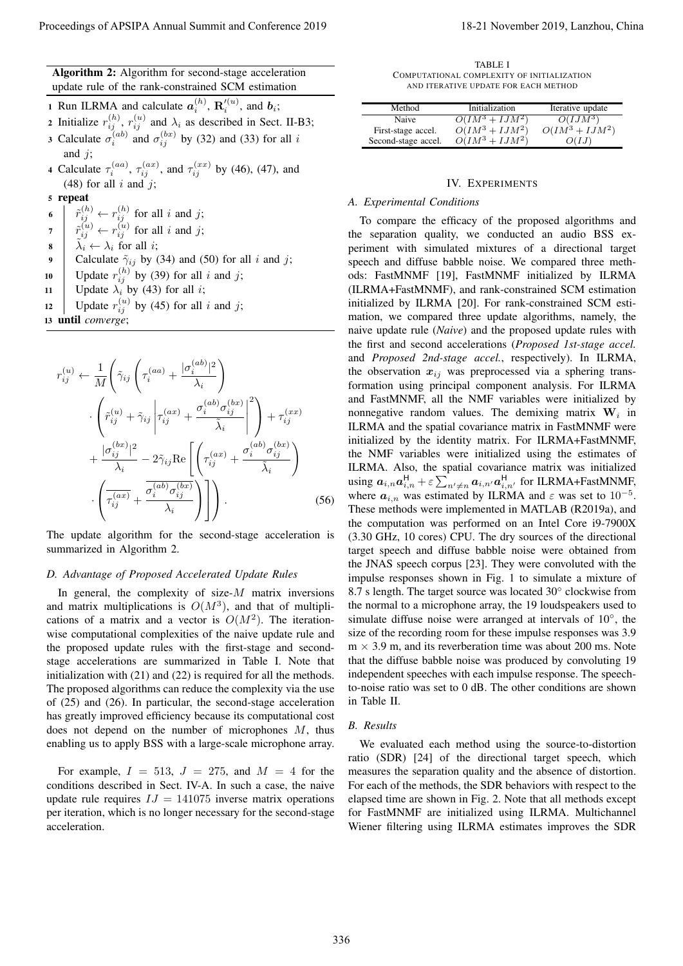| <b>Algorithm 2:</b> Algorithm for second-stage acceleration |  |
|-------------------------------------------------------------|--|
| update rule of the rank-constrained SCM estimation          |  |

- 1 Run ILRMA and calculate  $a_i^{(h)}$ ,  $\mathbf{R}'_i^{(u)}$ , and  $b_i$ ;  $i \rightarrow \mathbf{L}_i$
- 2 Initialize  $r_{ij}^{(h)}$ ,  $r_{ij}^{(u)}$  and  $\lambda_i$  as described in Sect. II-B3;
- 3 Calculate  $\sigma_i^{(ab)}$  and  $\sigma_{ij}^{(bx)}$  by (32) and (33) for all *i* and *j*;
- 4 Calculate  $\tau_i^{(aa)}$ ,  $\tau_{ij}^{(ax)}$ , and  $\tau_{ij}^{(xx)}$  by (46), (47), and (48) for all  $i$  and  $j$ ;

<sup>5</sup> repeat

- $\delta$   $\begin{array}{c} \n\tilde{r}_{ij}^{(h)} \leftarrow r_{ij}^{(h)} \text{ for all } i \text{ and } j; \n\end{array}$
- $\tilde{r}$   $\begin{array}{c} \tilde{r}^{(u)}_{ij} \leftarrow r^{(u)}_{ij} \text{ for all } i \text{ and } j; \end{array}$
- $\delta$   $\lambda_i \leftarrow \lambda_i$  for all *i*;
- 9 Calculate  $\tilde{\gamma}_{ij}$  by (34) and (50) for all *i* and *j*;
- 10 Update  $r_{ij}^{(h)}$  by (39) for all *i* and *j*;
- 11 | Update  $\lambda_i$  by (43) for all *i*;
- 12 Update  $r_{ij}^{(u)}$  by (45) for all *i* and *j*;
- <sup>13</sup> until *converge*;

$$
r_{ij}^{(u)} \leftarrow \frac{1}{M} \left( \tilde{\gamma}_{ij} \left( \tau_i^{(aa)} + \frac{|\sigma_i^{(ab)}|^2}{\lambda_i} \right) \left( \tilde{r}_{ij}^{(u)} + \tilde{\gamma}_{ij} \left| \tau_{ij}^{(ax)} + \frac{\sigma_i^{(ab)} \sigma_{ij}^{(bx)}}{\tilde{\lambda}_i} \right| ^2 \right) + \tau_{ij}^{(xx)} + \frac{|\sigma_{ij}^{(bx)}|^2}{\lambda_i} - 2\tilde{\gamma}_{ij} \text{Re} \left[ \left( \tau_{ij}^{(ax)} + \frac{\sigma_i^{(ab)} \sigma_{ij}^{(bx)}}{\tilde{\lambda}_i} \right) \left( \frac{\sigma_{ij}^{(ax)}}{\tau_{ij}^{(ax)}} + \frac{\overline{\sigma_i^{(ab)} \sigma_{ij}^{(bx)}}}{\lambda_i} \right) \right].
$$
\n(56)

The update algorithm for the second-stage acceleration is summarized in Algorithm 2.

## *D. Advantage of Proposed Accelerated Update Rules*

In general, the complexity of size-*M* matrix inversions and matrix multiplications is  $O(M^3)$ , and that of multiplications of a matrix and a vector is  $O(M^2)$ . The iterationwise computational complexities of the naive update rule and the proposed update rules with the first-stage and secondstage accelerations are summarized in Table I. Note that initialization with (21) and (22) is required for all the methods. The proposed algorithms can reduce the complexity via the use of (25) and (26). In particular, the second-stage acceleration has greatly improved efficiency because its computational cost does not depend on the number of microphones *M*, thus enabling us to apply BSS with a large-scale microphone array.

For example,  $I = 513$ ,  $J = 275$ , and  $M = 4$  for the conditions described in Sect. IV-A. In such a case, the naive update rule requires  $IJ = 141075$  inverse matrix operations per iteration, which is no longer necessary for the second-stage acceleration.

TABLE I COMPUTATIONAL COMPLEXITY OF INITIALIZATION AND ITERATIVE UPDATE FOR EACH METHOD

| Method              | Initialization           | Iterative update  |
|---------------------|--------------------------|-------------------|
| Naive               | $O(IM^3 + IJM^2)$        | $O(IJM^3)$        |
| First-stage accel.  | $\ddot{O}(IM^3 + IJM^2)$ | $O(IM^3 + IJM^2)$ |
| Second-stage accel. | $O(IM^3 + IJM^2)$        | O(IJ)             |

## IV. EXPERIMENTS

### *A. Experimental Conditions*

To compare the efficacy of the proposed algorithms and the separation quality, we conducted an audio BSS experiment with simulated mixtures of a directional target speech and diffuse babble noise. We compared three methods: FastMNMF [19], FastMNMF initialized by ILRMA (ILRMA+FastMNMF), and rank-constrained SCM estimation initialized by ILRMA [20]. For rank-constrained SCM estimation, we compared three update algorithms, namely, the naive update rule (*Naive*) and the proposed update rules with the first and second accelerations (*Proposed 1st-stage accel.* and *Proposed 2nd-stage accel.*, respectively). In ILRMA, the observation  $x_{ij}$  was preprocessed via a sphering transformation using principal component analysis. For ILRMA and FastMNMF, all the NMF variables were initialized by nonnegative random values. The demixing matrix  $W_i$  in ILRMA and the spatial covariance matrix in FastMNMF were initialized by the identity matrix. For ILRMA+FastMNMF, the NMF variables were initialized using the estimates of ILRMA. Also, the spatial covariance matrix was initialized using  $a_{i,n}a_{i,n}^{\mathsf{H}} + \varepsilon \sum_{n' \neq n} a_{i,n'}a_{i,n'}^{\mathsf{H}}$  for ILRMA+FastMNMF, where  $a_{i,n}$  was estimated by ILRMA and  $\varepsilon$  was set to 10<sup>-5</sup>. These methods were implemented in MATLAB (R2019a), and the computation was performed on an Intel Core i9-7900X (3.30 GHz, 10 cores) CPU. The dry sources of the directional target speech and diffuse babble noise were obtained from the JNAS speech corpus [23]. They were convoluted with the impulse responses shown in Fig. 1 to simulate a mixture of 8.7 s length. The target source was located 30*◦* clockwise from the normal to a microphone array, the 19 loudspeakers used to simulate diffuse noise were arranged at intervals of 10*◦* , the size of the recording room for these impulse responses was 3.9  $m \times 3.9$  m, and its reverberation time was about 200 ms. Note that the diffuse babble noise was produced by convoluting 19 independent speeches with each impulse response. The speechto-noise ratio was set to 0 dB. The other conditions are shown in Table II. Proceeding of APSIPA Annual Summit and Conference 2019<br>
Annual Summit and Conference 2019<br>
The main state of APSIPA Annual Summit and Conference 2019<br>
The main state of APSIPA Annual Summit and Conference 2019<br>
The main s

#### *B. Results*

We evaluated each method using the source-to-distortion ratio (SDR) [24] of the directional target speech, which measures the separation quality and the absence of distortion. For each of the methods, the SDR behaviors with respect to the elapsed time are shown in Fig. 2. Note that all methods except for FastMNMF are initialized using ILRMA. Multichannel Wiener filtering using ILRMA estimates improves the SDR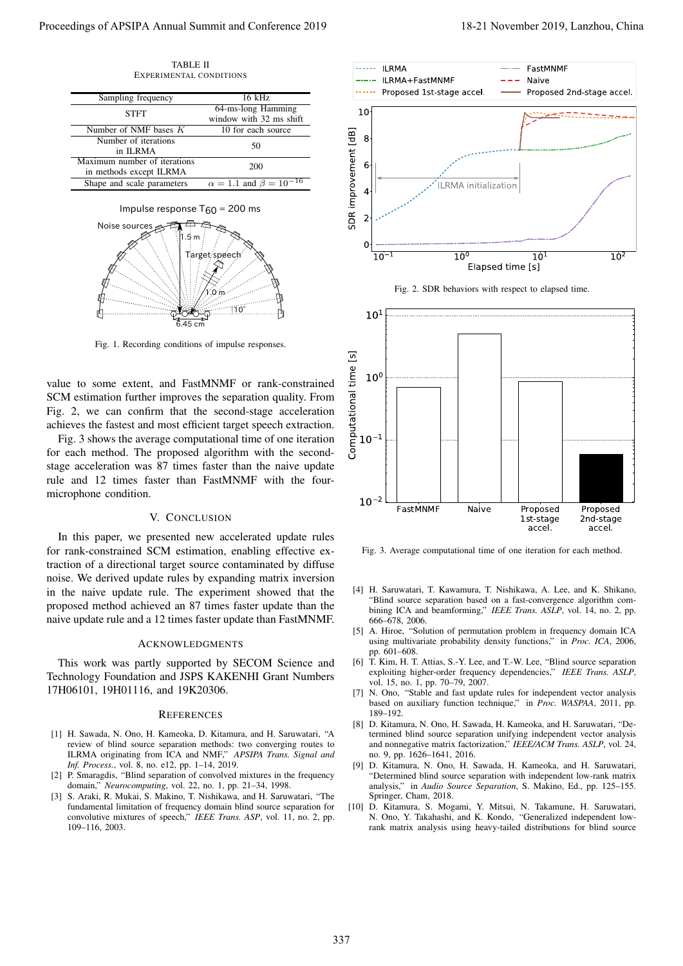TABLE II EXPERIMENTAL CONDITIONS

| Sampling frequency           | $16$ kHz                              |  |
|------------------------------|---------------------------------------|--|
| <b>STFT</b>                  | 64-ms-long Hamming                    |  |
|                              | window with 32 ms shift               |  |
| Number of NMF bases $K$      | 10 for each source                    |  |
| Number of iterations         | 50                                    |  |
| in ILRMA                     |                                       |  |
| Maximum number of iterations | 200                                   |  |
| in methods except ILRMA      |                                       |  |
| Shape and scale parameters   | $\alpha = 1.1$ and $\beta = 10^{-16}$ |  |





Fig. 1. Recording conditions of impulse responses.

value to some extent, and FastMNMF or rank-constrained SCM estimation further improves the separation quality. From Fig. 2, we can confirm that the second-stage acceleration achieves the fastest and most efficient target speech extraction.

Fig. 3 shows the average computational time of one iteration for each method. The proposed algorithm with the secondstage acceleration was 87 times faster than the naive update rule and 12 times faster than FastMNMF with the fourmicrophone condition.

#### V. CONCLUSION

In this paper, we presented new accelerated update rules for rank-constrained SCM estimation, enabling effective extraction of a directional target source contaminated by diffuse noise. We derived update rules by expanding matrix inversion in the naive update rule. The experiment showed that the proposed method achieved an 87 times faster update than the naive update rule and a 12 times faster update than FastMNMF.

## ACKNOWLEDGMENTS

This work was partly supported by SECOM Science and Technology Foundation and JSPS KAKENHI Grant Numbers 17H06101, 19H01116, and 19K20306.

#### **REFERENCES**

- [1] H. Sawada, N. Ono, H. Kameoka, D. Kitamura, and H. Saruwatari, "A review of blind source separation methods: two converging routes to ILRMA originating from ICA and NMF," *APSIPA Trans. Signal and Inf. Process.*, vol. 8, no. e12, pp. 1–14, 2019.
- [2] P. Smaragdis, "Blind separation of convolved mixtures in the frequency domain," *Neurocomputing*, vol. 22, no. 1, pp. 21–34, 1998.
- [3] S. Araki, R. Mukai, S. Makino, T. Nishikawa, and H. Saruwatari, "The fundamental limitation of frequency domain blind source separation for convolutive mixtures of speech," *IEEE Trans. ASP*, vol. 11, no. 2, pp. 109–116, 2003.



Fig. 2. SDR behaviors with respect to elapsed time.



Fig. 3. Average computational time of one iteration for each method.

- [4] H. Saruwatari, T. Kawamura, T. Nishikawa, A. Lee, and K. Shikano, "Blind source separation based on a fast-convergence algorithm combining ICA and beamforming," *IEEE Trans. ASLP*, vol. 14, no. 2, pp. 666–678, 2006.
- [5] A. Hiroe, "Solution of permutation problem in frequency domain ICA using multivariate probability density functions," in *Proc. ICA*, 2006, pp. 601–608.
- [6] T. Kim, H. T. Attias, S.-Y. Lee, and T.-W. Lee, "Blind source separation exploiting higher-order frequency dependencies," *IEEE Trans. ASLP*, vol. 15, no. 1, pp. 70–79, 2007.
- [7] N. Ono, "Stable and fast update rules for independent vector analysis based on auxiliary function technique," in *Proc. WASPAA*, 2011, pp. 189–192.
- [8] D. Kitamura, N. Ono, H. Sawada, H. Kameoka, and H. Saruwatari, "Determined blind source separation unifying independent vector analysis and nonnegative matrix factorization," *IEEE/ACM Trans. ASLP*, vol. 24, no. 9, pp. 1626–1641, 2016.
- [9] D. Kitamura, N. Ono, H. Sawada, H. Kameoka, and H. Saruwatari, "Determined blind source separation with independent low-rank matrix analysis," in *Audio Source Separation*, S. Makino, Ed., pp. 125–155. Springer, Cham, 2018.
- [10] D. Kitamura, S. Mogami, Y. Mitsui, N. Takamune, H. Saruwatari, N. Ono, Y. Takahashi, and K. Kondo, "Generalized independent lowrank matrix analysis using heavy-tailed distributions for blind source